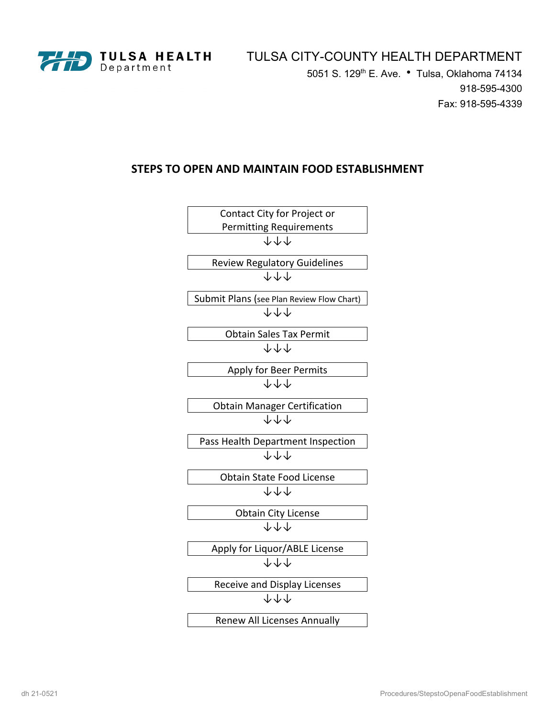

5051 S. 129<sup>th</sup> E. Ave. • Tulsa, Oklahoma 74134 918-595-4300 Fax: 918-595-4339

# **STEPS TO OPEN AND MAINTAIN FOOD ESTABLISHMENT**

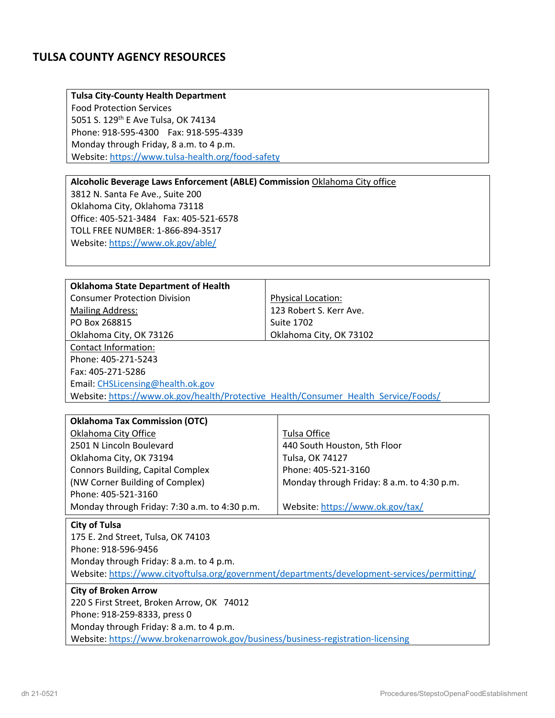# **TULSA COUNTY AGENCY RESOURCES**

## **Tulsa City-County Health Department**

Food Protection Services 5051 S. 129<sup>th</sup> E Ave Tulsa, OK 74134 Phone: 918-595-4300 Fax: 918-595-4339 Monday through Friday, 8 a.m. to 4 p.m. Website: https://www.tulsa-health.org/food-safety

## **Alcoholic Beverage Laws Enforcement (ABLE) Commission** Oklahoma City office

3812 N. Santa Fe Ave., Suite 200 Oklahoma City, Oklahoma 73118 Office: 405-521-3484 Fax: 405-521-6578 TOLL FREE NUMBER: 1-866-894-3517 Website: https://www.ok.gov/able/

| <b>Oklahoma State Department of Health</b>                                          |                           |  |
|-------------------------------------------------------------------------------------|---------------------------|--|
| <b>Consumer Protection Division</b>                                                 | <b>Physical Location:</b> |  |
| <b>Mailing Address:</b>                                                             | 123 Robert S. Kerr Ave.   |  |
| PO Box 268815                                                                       | <b>Suite 1702</b>         |  |
| Oklahoma City, OK 73126                                                             | Oklahoma City, OK 73102   |  |
| Contact Information:                                                                |                           |  |
| Phone: 405-271-5243                                                                 |                           |  |
| Fax: 405-271-5286                                                                   |                           |  |
| Email: CHSLicensing@health.ok.gov                                                   |                           |  |
| Website: https://www.ok.gov/health/Protective Health/Consumer Health Service/Foods/ |                           |  |
|                                                                                     |                           |  |

| <b>Oklahoma Tax Commission (OTC)</b>          |                                            |  |
|-----------------------------------------------|--------------------------------------------|--|
| Oklahoma City Office                          | Tulsa Office                               |  |
| 2501 N Lincoln Boulevard                      | 440 South Houston, 5th Floor               |  |
| Oklahoma City, OK 73194                       | Tulsa, OK 74127                            |  |
| <b>Connors Building, Capital Complex</b>      | Phone: 405-521-3160                        |  |
| (NW Corner Building of Complex)               | Monday through Friday: 8 a.m. to 4:30 p.m. |  |
| Phone: 405-521-3160                           |                                            |  |
| Monday through Friday: 7:30 a.m. to 4:30 p.m. | Website: https://www.ok.gov/tax/           |  |
| $- - -$<br>.                                  |                                            |  |

### **City of Tulsa**

175 E. 2nd Street, Tulsa, OK 74103 Phone: 918-596-9456 Monday through Friday: 8 a.m. to 4 p.m. Website: https://www.cityoftulsa.org/government/departments/development-services/permitting/

# **City of Broken Arrow**

220 S First Street, Broken Arrow, OK 74012 Phone: 918-259-8333, press 0 Monday through Friday: 8 a.m. to 4 p.m. Website: https://www.brokenarrowok.gov/business/business-registration-licensing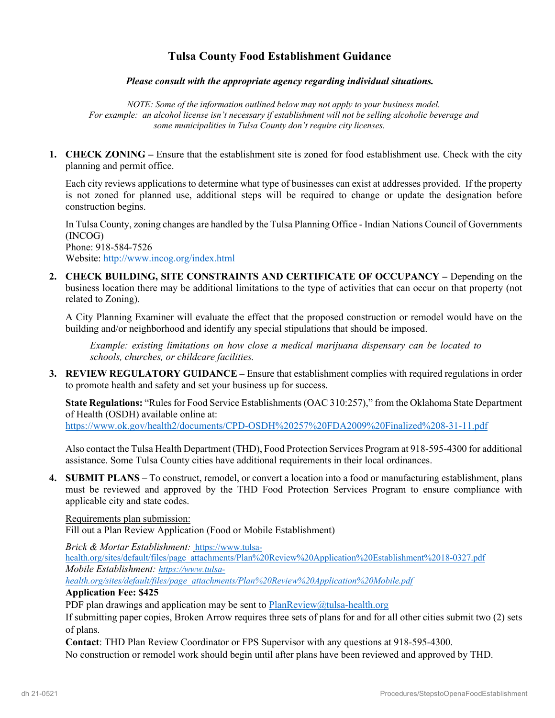# **Tulsa County Food Establishment Guidance**

## *Please consult with the appropriate agency regarding individual situations.*

*NOTE: Some of the information outlined below may not apply to your business model. For example: an alcohol license isn't necessary if establishment will not be selling alcoholic beverage and some municipalities in Tulsa County don't require city licenses.*

**1. CHECK ZONING –** Ensure that the establishment site is zoned for food establishment use. Check with the city planning and permit office.

Each city reviews applications to determine what type of businesses can exist at addresses provided. If the property is not zoned for planned use, additional steps will be required to change or update the designation before construction begins.

In Tulsa County, zoning changes are handled by the Tulsa Planning Office - Indian Nations Council of Governments (INCOG) Phone: 918-584-7526

Website: http://www.incog.org/index.html

**2. CHECK BUILDING, SITE CONSTRAINTS AND CERTIFICATE OF OCCUPANCY –** Depending on the business location there may be additional limitations to the type of activities that can occur on that property (not related to Zoning).

A City Planning Examiner will evaluate the effect that the proposed construction or remodel would have on the building and/or neighborhood and identify any special stipulations that should be imposed.

*Example: existing limitations on how close a medical marijuana dispensary can be located to schools, churches, or childcare facilities.* 

**3.** REVIEW REGULATORY GUIDANCE – Ensure that establishment complies with required regulations in order to promote health and safety and set your business up for success.

**State Regulations:** "Rules for Food Service Establishments (OAC 310:257)," from the Oklahoma State Department of Health (OSDH) available online at:

https://www.ok.gov/health2/documents/CPD-OSDH%20257%20FDA2009%20Finalized%208-31-11.pdf

Also contact the Tulsa Health Department (THD), Food Protection Services Program at 918-595-4300 for additional assistance. Some Tulsa County cities have additional requirements in their local ordinances.

**4. SUBMIT PLANS –** To construct, remodel, or convert a location into a food or manufacturing establishment, plans must be reviewed and approved by the THD Food Protection Services Program to ensure compliance with applicable city and state codes.

Requirements plan submission:

Fill out a Plan Review Application (Food or Mobile Establishment)

*Brick & Mortar Establishment:* https://www.tulsa-

health.org/sites/default/files/page\_attachments/Plan%20Review%20Application%20Establishment%2018-0327.pdf *Mobile Establishment: https://www.tulsa-*

*health.org/sites/default/files/page\_attachments/Plan%20Review%20Application%20Mobile.pdf*

## **Application Fee: \$425**

PDF plan drawings and application may be sent to  $PlanReview@tulsa-health.org$ 

If submitting paper copies, Broken Arrow requires three sets of plans for and for all other cities submit two (2) sets of plans.

**Contact**: THD Plan Review Coordinator or FPS Supervisor with any questions at 918-595-4300. No construction or remodel work should begin until after plans have been reviewed and approved by THD.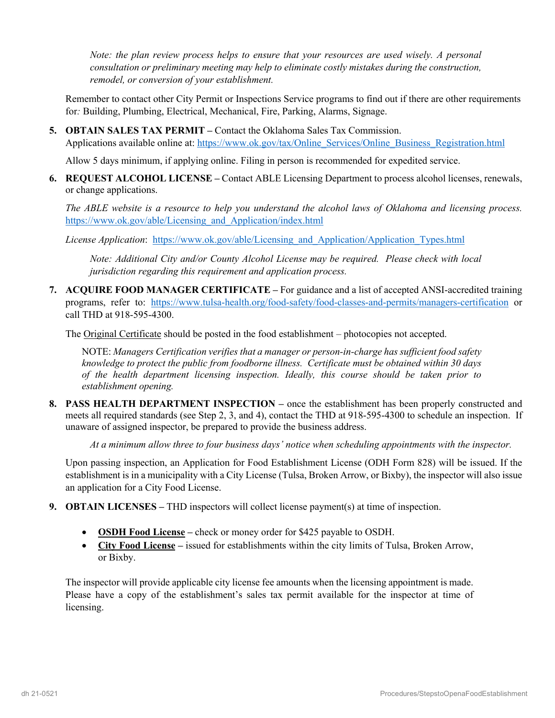*Note: the plan review process helps to ensure that your resources are used wisely. A personal consultation or preliminary meeting may help to eliminate costly mistakes during the construction, remodel, or conversion of your establishment.* 

Remember to contact other City Permit or Inspections Service programs to find out if there are other requirements for*:* Building, Plumbing, Electrical, Mechanical, Fire, Parking, Alarms, Signage.

**5. OBTAIN SALES TAX PERMIT –** Contact the Oklahoma Sales Tax Commission. Applications available online at: https://www.ok.gov/tax/Online\_Services/Online\_Business\_Registration.html

Allow 5 days minimum, if applying online. Filing in person is recommended for expedited service.

**6. REQUEST ALCOHOL LICENSE –** Contact ABLE Licensing Department to process alcohol licenses, renewals, or change applications.

*The ABLE website is a resource to help you understand the alcohol laws of Oklahoma and licensing process.* https://www.ok.gov/able/Licensing\_and\_Application/index.html

*License Application*: https://www.ok.gov/able/Licensing\_and\_Application/Application\_Types.html

*Note: Additional City and/or County Alcohol License may be required. Please check with local jurisdiction regarding this requirement and application process.* 

**7. ACQUIRE FOOD MANAGER CERTIFICATE –** For guidance and a list of accepted ANSI-accredited training programs, refer to: https://www.tulsa-health.org/food-safety/food-classes-and-permits/managers-certification or call THD at 918-595-4300.

The Original Certificate should be posted in the food establishment – photocopies not accepted.

NOTE: *Managers Certification verifies that a manager or person-in-charge has sufficient food safety knowledge to protect the public from foodborne illness. Certificate must be obtained within 30 days of the health department licensing inspection. Ideally, this course should be taken prior to establishment opening.* 

**8. PASS HEALTH DEPARTMENT INSPECTION –** once the establishment has been properly constructed and meets all required standards (see Step 2, 3, and 4), contact the THD at 918-595-4300 to schedule an inspection. If unaware of assigned inspector, be prepared to provide the business address.

*At a minimum allow three to four business days' notice when scheduling appointments with the inspector.* 

Upon passing inspection, an Application for Food Establishment License (ODH Form 828) will be issued. If the establishment is in a municipality with a City License (Tulsa, Broken Arrow, or Bixby), the inspector will also issue an application for a City Food License.

- **9. OBTAIN LICENSES –** THD inspectors will collect license payment(s) at time of inspection.
	- **OSDH Food License** check or money order for \$425 payable to OSDH.
	- **City Food License –** issued for establishments within the city limits of Tulsa, Broken Arrow, or Bixby.

The inspector will provide applicable city license fee amounts when the licensing appointment is made. Please have a copy of the establishment's sales tax permit available for the inspector at time of licensing.